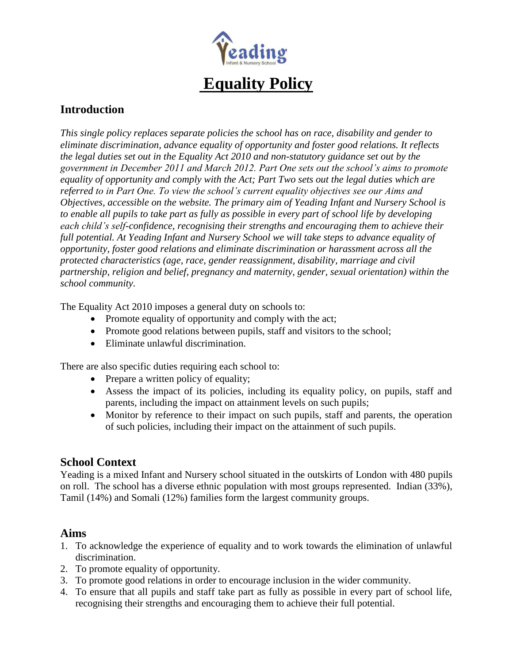

# **Equality Policy**

## **Introduction**

*This single policy replaces separate policies the school has on race, disability and gender to eliminate discrimination, advance equality of opportunity and foster good relations. It reflects the legal duties set out in the Equality Act 2010 and non-statutory guidance set out by the government in December 2011 and March 2012. Part One sets out the school's aims to promote equality of opportunity and comply with the Act; Part Two sets out the legal duties which are referred to in Part One. To view the school's current equality objectives see our Aims and Objectives, accessible on the website. The primary aim of Yeading Infant and Nursery School is to enable all pupils to take part as fully as possible in every part of school life by developing each child's self-confidence, recognising their strengths and encouraging them to achieve their full potential. At Yeading Infant and Nursery School we will take steps to advance equality of opportunity, foster good relations and eliminate discrimination or harassment across all the protected characteristics (age, race, gender reassignment, disability, marriage and civil partnership, religion and belief, pregnancy and maternity, gender, sexual orientation) within the school community.* 

The Equality Act 2010 imposes a general duty on schools to:

- Promote equality of opportunity and comply with the act;
- Promote good relations between pupils, staff and visitors to the school;
- Eliminate unlawful discrimination.

There are also specific duties requiring each school to:

- Prepare a written policy of equality;
- Assess the impact of its policies, including its equality policy, on pupils, staff and parents, including the impact on attainment levels on such pupils;
- Monitor by reference to their impact on such pupils, staff and parents, the operation of such policies, including their impact on the attainment of such pupils.

# **School Context**

Yeading is a mixed Infant and Nursery school situated in the outskirts of London with 480 pupils on roll. The school has a diverse ethnic population with most groups represented. Indian (33%), Tamil (14%) and Somali (12%) families form the largest community groups.

## **Aims**

- 1. To acknowledge the experience of equality and to work towards the elimination of unlawful discrimination.
- 2. To promote equality of opportunity.
- 3. To promote good relations in order to encourage inclusion in the wider community.
- 4. To ensure that all pupils and staff take part as fully as possible in every part of school life, recognising their strengths and encouraging them to achieve their full potential.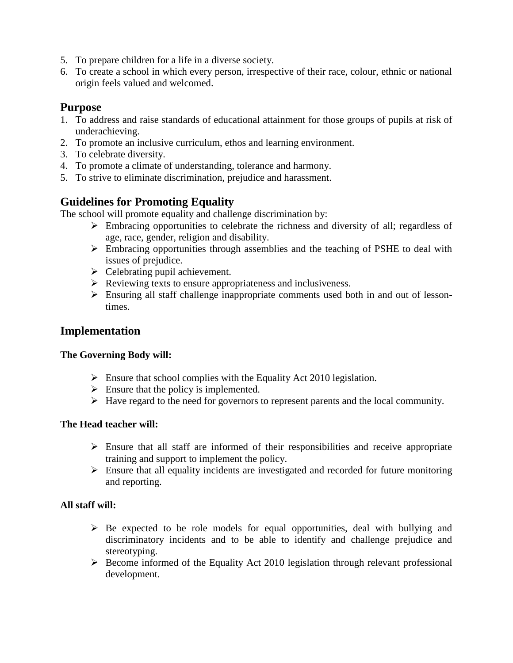- 5. To prepare children for a life in a diverse society.
- 6. To create a school in which every person, irrespective of their race, colour, ethnic or national origin feels valued and welcomed.

## **Purpose**

- 1. To address and raise standards of educational attainment for those groups of pupils at risk of underachieving.
- 2. To promote an inclusive curriculum, ethos and learning environment.
- 3. To celebrate diversity.
- 4. To promote a climate of understanding, tolerance and harmony.
- 5. To strive to eliminate discrimination, prejudice and harassment.

# **Guidelines for Promoting Equality**

The school will promote equality and challenge discrimination by:

- Embracing opportunities to celebrate the richness and diversity of all; regardless of age, race, gender, religion and disability.
- $\triangleright$  Embracing opportunities through assemblies and the teaching of PSHE to deal with issues of prejudice.
- $\triangleright$  Celebrating pupil achievement.
- $\triangleright$  Reviewing texts to ensure appropriateness and inclusiveness.
- Ensuring all staff challenge inappropriate comments used both in and out of lessontimes.

## **Implementation**

#### **The Governing Body will:**

- $\triangleright$  Ensure that school complies with the Equality Act 2010 legislation.
- $\triangleright$  Ensure that the policy is implemented.
- $\triangleright$  Have regard to the need for governors to represent parents and the local community.

#### **The Head teacher will:**

- $\triangleright$  Ensure that all staff are informed of their responsibilities and receive appropriate training and support to implement the policy.
- $\triangleright$  Ensure that all equality incidents are investigated and recorded for future monitoring and reporting.

## **All staff will:**

- $\triangleright$  Be expected to be role models for equal opportunities, deal with bullying and discriminatory incidents and to be able to identify and challenge prejudice and stereotyping.
- $\triangleright$  Become informed of the Equality Act 2010 legislation through relevant professional development.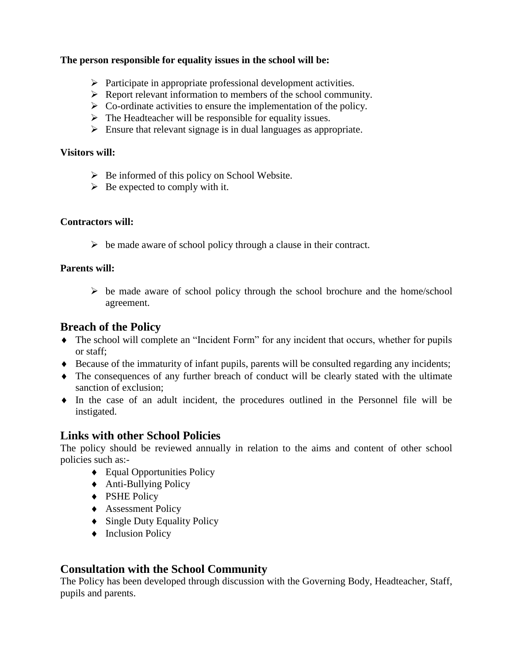#### **The person responsible for equality issues in the school will be:**

- $\triangleright$  Participate in appropriate professional development activities.
- $\triangleright$  Report relevant information to members of the school community.
- $\triangleright$  Co-ordinate activities to ensure the implementation of the policy.
- $\triangleright$  The Headteacher will be responsible for equality issues.
- $\triangleright$  Ensure that relevant signage is in dual languages as appropriate.

#### **Visitors will:**

- $\triangleright$  Be informed of this policy on School Website.
- $\triangleright$  Be expected to comply with it.

#### **Contractors will:**

 $\triangleright$  be made aware of school policy through a clause in their contract.

#### **Parents will:**

 $\triangleright$  be made aware of school policy through the school brochure and the home/school agreement.

## **Breach of the Policy**

- The school will complete an "Incident Form" for any incident that occurs, whether for pupils or staff;
- Because of the immaturity of infant pupils, parents will be consulted regarding any incidents;
- The consequences of any further breach of conduct will be clearly stated with the ultimate sanction of exclusion;
- $\bullet$  In the case of an adult incident, the procedures outlined in the Personnel file will be instigated.

## **Links with other School Policies**

The policy should be reviewed annually in relation to the aims and content of other school policies such as:-

- ◆ Equal Opportunities Policy
- ◆ Anti-Bullying Policy
- ◆ PSHE Policy
- ◆ Assessment Policy
- Single Duty Equality Policy
- $\bullet$  Inclusion Policy

## **Consultation with the School Community**

The Policy has been developed through discussion with the Governing Body, Headteacher, Staff, pupils and parents.